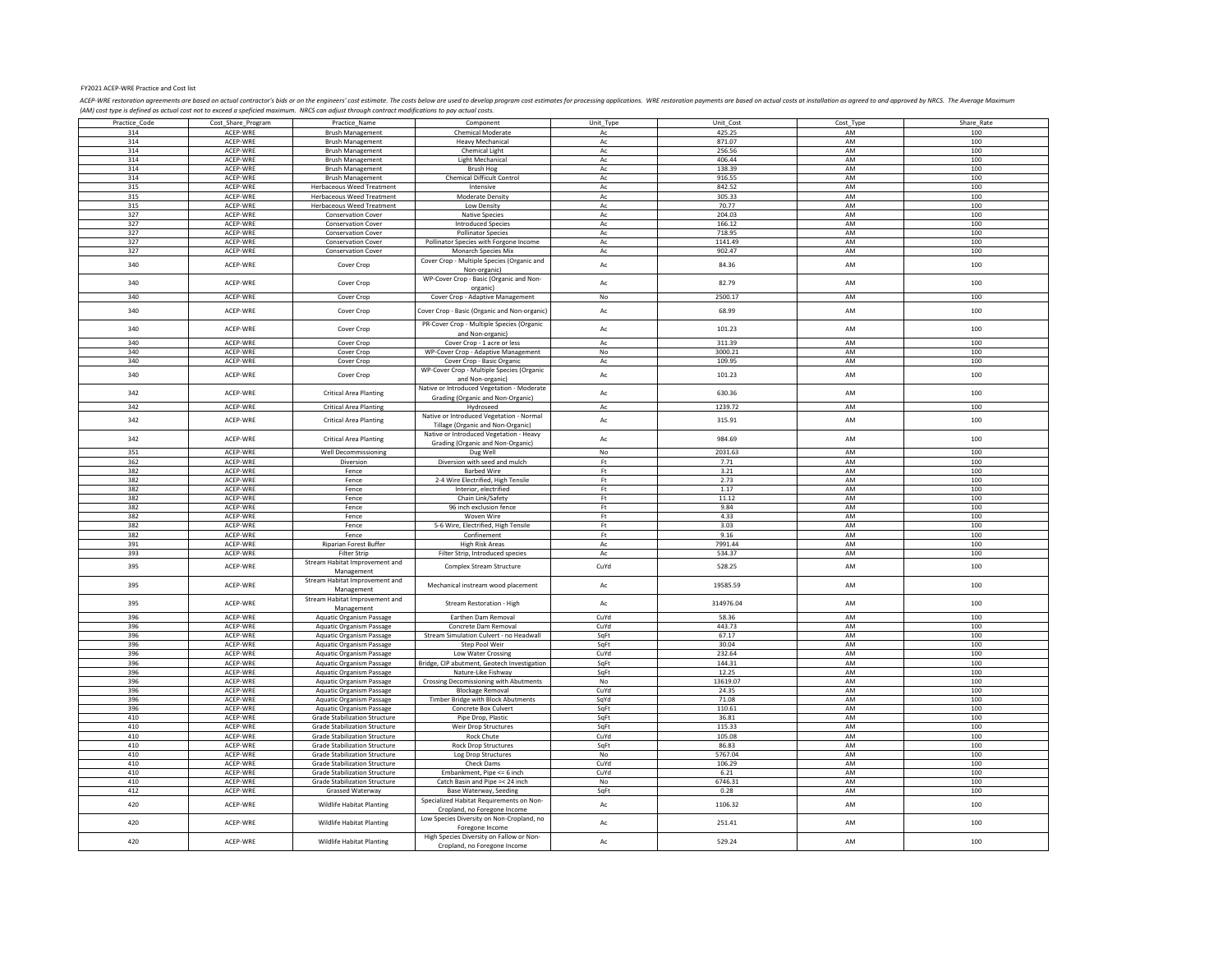## FY2021 ACEP‐WRE Practice and Cost list

ACP-WRE restoration agreements are based on cutual contractor's bids or on the engineers' cost estimate. The costs below are used to develop proporam cost estimates for processing applications. WRE restoration payments are

|               |                    |                                      | Component                                                  |                        |           |           |            |
|---------------|--------------------|--------------------------------------|------------------------------------------------------------|------------------------|-----------|-----------|------------|
| Practice_Code | Cost_Share_Program | Practice_Name                        |                                                            | Unit_Type              | Unit_Cost | Cost_Type | Share_Rate |
| 314           | ACFP-WRF           | <b>Brush Management</b>              | Chemical Moderate                                          | Ac                     | 425.25    | AM        | 100        |
| 314           | ACEP-WRE           | <b>Brush Management</b>              | <b>Heavy Mechanical</b>                                    | Ac                     | 871.07    | AM        | 100        |
| 314           | ACEP-WRE           | <b>Brush Management</b>              | Chemical Light                                             | $\mathsf{Ac}$          | 256.56    | AM        | 100        |
| 314           | ACFP-WRF           | <b>Brush Management</b>              | <b>Light Mechanical</b>                                    | Ас                     | 406.44    | AM        | 100        |
|               |                    |                                      |                                                            |                        |           |           |            |
| 314           | ACEP-WRE           | <b>Brush Management</b>              | <b>Brush Hog</b>                                           | Ac                     | 138.39    | AM        | 100        |
| 314           | ACEP-WRE           | <b>Brush Management</b>              | Chemical Difficult Control                                 | Ас                     | 916.55    | AM        | 100        |
| 315           | ACEP-WRE           | <b>Herbaceous Weed Treatment</b>     | Intensive                                                  | $\mathsf{Ac}$          | 842.52    | AM        | 100        |
| 315           | ACEP-WRE           | <b>Herbaceous Weed Treatment</b>     | Moderate Density                                           | Ac                     | 305.33    | <b>AM</b> | 100        |
| 315           | ACEP-WRE           | Herbaceous Weed Treatment            | Low Density                                                | Ac                     | 70.77     | AM        | 100        |
|               |                    |                                      |                                                            |                        |           |           |            |
| 327           | ACEP-WRE           | <b>Conservation Cover</b>            | <b>Native Species</b>                                      | $\mathsf{Ac}$          | 204.03    | AM        | 100        |
| 327           | ACEP-WRE           | Conservation Cover                   | <b>Introduced Species</b>                                  | Ac                     | 166.12    | AM        | 100        |
| 327           | ACEP-WRE           | <b>Conservation Cover</b>            | <b>Pollinator Species</b>                                  | Ас                     | 718.95    | AM        | 100        |
| 327           | ACEP-WRE           | <b>Conservation Cover</b>            | Pollinator Species with Forgone Income                     | Ac                     | 1141.49   | AM        | 100        |
| 327           | ACEP-WRE           | Conservation Cover                   | Monarch Species Mix                                        | Ac                     | 902.47    | AM        | 100        |
|               |                    |                                      |                                                            |                        |           |           |            |
| 340           | ACEP-WRE           | Cover Crop                           | Cover Crop - Multiple Species (Organic and<br>Non-organic) | Ac                     | 84.36     | AM        | 100        |
| 340           | ACEP-WRE           | Cover Crop                           | WP-Cover Crop - Basic (Organic and Non-                    | $\mathsf{Ac}$          | 82.79     | AM        | 100        |
|               |                    |                                      | organic)                                                   |                        |           |           |            |
| 340           | ACEP-WRE           | Cover Crop                           | Cover Crop - Adaptive Management                           | No                     | 2500.17   | AM        | 100        |
|               |                    |                                      |                                                            |                        |           |           |            |
| 340           | ACEP-WRE           | Cover Crop                           | Cover Crop - Basic (Organic and Non-organic)               | Ac                     | 68.99     | AM        | 100        |
|               |                    |                                      |                                                            |                        |           |           |            |
| 340           | ACEP-WRE           |                                      | PR-Cover Crop - Multiple Species (Organic                  | $\mathsf{Ac}$          | 101.23    | AM        | 100        |
|               |                    | Cover Crop                           | and Non-organic)                                           |                        |           |           |            |
| 340           | ACEP-WRE           | Cover Crop                           | Cover Crop - 1 acre or less                                | Ac                     | 311.39    | AM        | 100        |
| 340           | ACEP-WRE           |                                      |                                                            | No                     | 3000.21   | AM        | 100        |
|               |                    | Cover Crop                           | WP-Cover Crop - Adaptive Management                        |                        |           |           |            |
| 340           | ACEP-WRE           | Cover Crop                           | Cover Crop - Basic Organic                                 | Ac                     | 109.95    | AM        | 100        |
|               |                    |                                      | WP-Cover Crop - Multiple Species (Organic                  |                        |           |           |            |
| 340           | ACEP-WRE           | Cover Crop                           | and Non-organic)                                           | Ac                     | 101.23    | AM        | 100        |
|               |                    |                                      | Native or Introduced Vegetation - Moderate                 |                        |           |           |            |
| 342           | ACEP-WRE           | <b>Critical Area Planting</b>        |                                                            | $\mathsf{Ac}$          | 630.36    | AM        | 100        |
|               |                    |                                      | Grading (Organic and Non-Organic)                          |                        |           |           |            |
| 342           | ACEP-WRE           | <b>Critical Area Planting</b>        | Hydroseed                                                  | Ac                     | 1239.72   | AM        | 100        |
|               |                    |                                      | Native or Introduced Vegetation - Normal                   |                        |           |           |            |
| 342           | ACEP-WRE           | <b>Critical Area Planting</b>        | Tillage (Organic and Non-Organic)                          | $\mathsf{Ac}$          | 315.91    | AM        | 100        |
|               |                    |                                      |                                                            |                        |           |           |            |
| 342           | ACEP-WRE           | <b>Critical Area Planting</b>        | Native or Introduced Vegetation - Heavy                    | $\mathsf{A}\mathsf{c}$ | 984.69    | AM        | 100        |
|               |                    |                                      | Grading (Organic and Non-Organic)                          |                        |           |           |            |
| 351           | ACEP-WRE           | Well Decommissioning                 | Dug Well                                                   | No                     | 2031.63   | AM        | 100        |
| 362           | ACEP-WRE           | Diversion                            | Diversion with seed and mulch                              | Ft                     | 7.71      | AM        | 100        |
| 382           | ACFP-WRF           | Fence                                | <b>Barbed Wire</b>                                         | Ft.                    | 3.21      | AM        | 100        |
|               |                    |                                      |                                                            |                        |           |           |            |
| 382           | ACEP-WRE           | Fence                                | 2-4 Wire Electrified, High Tensile                         | Ft                     | 2.73      | AM        | 100        |
| 382           | ACEP-WRE           | Fence                                | Interior, electrified                                      | $\mathsf{F}\mathsf{t}$ | 1.17      | AM        | 100        |
| 382           | ACEP-WRE           | Fence                                | Chain Link/Safety                                          | Ft                     | 11.12     | AM        | 100        |
| 382           | ACEP-WRE           | Fence                                | 96 inch exclusion fence                                    | Ft                     | 9.84      | AM        | 100        |
|               |                    |                                      |                                                            |                        | 4.33      |           |            |
| 382           | ACEP-WRE           | Fence                                | Woven Wire                                                 | Ft                     |           | AM        | 100        |
| 382           | ACEP-WRE           | Fence                                | 5-6 Wire, Electrified, High Tensile                        | Ft                     | 3.03      | AM        | 100        |
| 382           | ACEP-WRE           | Fence                                | Confinement                                                | Ft                     | 9.16      | AM        | 100        |
| 391           | ACEP-WRE           | Riparian Forest Buffer               | <b>High Risk Areas</b>                                     | Ac                     | 7991.44   | AM        | 100        |
| 393           | ACEP-WRE           | Filter Strip                         | Filter Strip, Introduced species                           | $\mathsf{Ac}$          | 534.37    | AM        | 100        |
|               |                    |                                      |                                                            |                        |           |           |            |
| 395           | ACEP-WRE           | Stream Habitat Improvement and       | Complex Stream Structure                                   | CuYd                   | 528.25    | AM        | 100        |
|               |                    | Management                           |                                                            |                        |           |           |            |
|               |                    | Stream Habitat Improvement and       |                                                            |                        |           |           |            |
| 395           | ACEP-WRE           | Management                           | Mechanical instream wood placement                         | $\mathsf{Ac}$          | 19585.59  | AM        | 100        |
|               |                    | Stream Habitat Improvement and       |                                                            |                        |           |           |            |
| 395           | ACEP-WRE           |                                      | Stream Restoration - High                                  | Ac                     | 314976.04 | AM        | 100        |
|               |                    | Management                           |                                                            |                        |           |           |            |
| 396           | ACEP-WRE           | Aquatic Organism Passage             | Earthen Dam Removal                                        | CuYd                   | 58.36     | AM        | 100        |
| 396           | ACEP-WRE           | Aquatic Organism Passage             | Concrete Dam Removal                                       | CuYd                   | 443.73    | AM        | 100        |
| 396           | ACFP-WRF           | Aquatic Organism Passage             | Stream Simulation Culvert - no Headwall                    | SqFt                   | 67.17     | AM        | 100        |
| 396           | ACEP-WRE           | Aquatic Organism Passage             | Step Pool Weir                                             | SaFt                   | 30.04     | AM        | 100        |
|               |                    |                                      |                                                            |                        |           |           |            |
| 396           | ACEP-WRE           | Aquatic Organism Passage             | Low Water Crossing                                         | CuYd                   | 232.64    | AM        | 100        |
| 396           | ACEP-WRE           | Aquatic Organism Passage             | Bridge, CIP abutment, Geotech Investigation                | SqFt                   | 144.31    | AM        | 100        |
| 396           | ACEP-WRE           | Aquatic Organism Passage             | Nature-Like Fishway                                        | SqFt                   | 12.25     | AM        | 100        |
| 396           | ACEP-WRE           | Aquatic Organism Passage             | Crossing Decomissioning with Abutments                     | No                     | 13619.07  | AM        | 100        |
|               |                    |                                      |                                                            |                        |           | AM        |            |
| 396           | ACEP-WRE           | Aquatic Organism Passage             | <b>Blockage Removal</b>                                    | CuYd                   | 24.35     |           | 100        |
| 396           | ACEP-WRE           | Aquatic Organism Passage             | Timber Bridge with Block Abutments                         | SqYd                   | 71.08     | AM        | 100        |
| 396           | ACFP-WRF           | Aquatic Organism Passage             | <b>Concrete Box Culvert</b>                                | SqFt                   | 110.61    | AM        | 100        |
| 410           | ACEP-WRE           | <b>Grade Stabilization Structure</b> | Pipe Drop, Plastic                                         | SqFt                   | 36.81     | AM        | 100        |
| 410           | ACEP-WRE           | <b>Grade Stabilization Structure</b> | Weir Drop Structures                                       | SqFt                   | 115.33    | AM        | 100        |
|               |                    |                                      |                                                            |                        |           | AM        |            |
| 410           | ACEP-WRE           | <b>Grade Stabilization Structure</b> | Rock Chute                                                 | CuYd                   | 105.08    |           | 100        |
| 410           | ACFP-WRF           | <b>Grade Stabilization Structure</b> | <b>Rock Drop Structures</b>                                | SqFt                   | 86.83     | AM        | 100        |
| 410           | ACEP-WRE           | <b>Grade Stabilization Structure</b> | Log Drop Structures                                        | No                     | 5767.04   | AM        | 100        |
| 410           | ACEP-WRE           | <b>Grade Stabilization Structure</b> | Check Dams                                                 | CuYd                   | 106.29    | AM        | 100        |
| 410           | ACEP-WRE           | <b>Grade Stabilization Structure</b> | Embankment, Pipe <= 6 inch                                 | CuYd                   | 6.21      | AM        | 100        |
| 410           | ACEP-WRE           | <b>Grade Stabilization Structure</b> | Catch Basin and Pipe =< 24 inch                            | No                     | 6746.31   | AM        | 100        |
|               |                    |                                      |                                                            |                        |           |           |            |
| 412           | ACEP-WRE           | Grassed Waterway                     | <b>Base Waterway, Seeding</b>                              | SqFt                   | 0.28      | AM        | 100        |
| 420           | ACEP-WRE           | Wildlife Habitat Planting            | Specialized Habitat Requirements on Non-                   | $\mathsf{Ac}$          | 1106.32   | AM        | 100        |
|               |                    |                                      | Cropland, no Foregone Income                               |                        |           |           |            |
|               |                    |                                      | Low Species Diversity on Non-Cropland, no                  |                        |           |           |            |
| 420           | ACEP-WRE           | <b>Wildlife Habitat Planting</b>     |                                                            | $\mathsf{Ac}$          | 251.41    | AM        | 100        |
|               |                    |                                      | Foregone Income                                            |                        |           |           |            |
| 420           | ACEP-WRE           | <b>Wildlife Habitat Planting</b>     | High Species Diversity on Fallow or Non-                   | Ac                     | 529.24    | AM        | 100        |
|               |                    |                                      | Cropland, no Foregone Income                               |                        |           |           |            |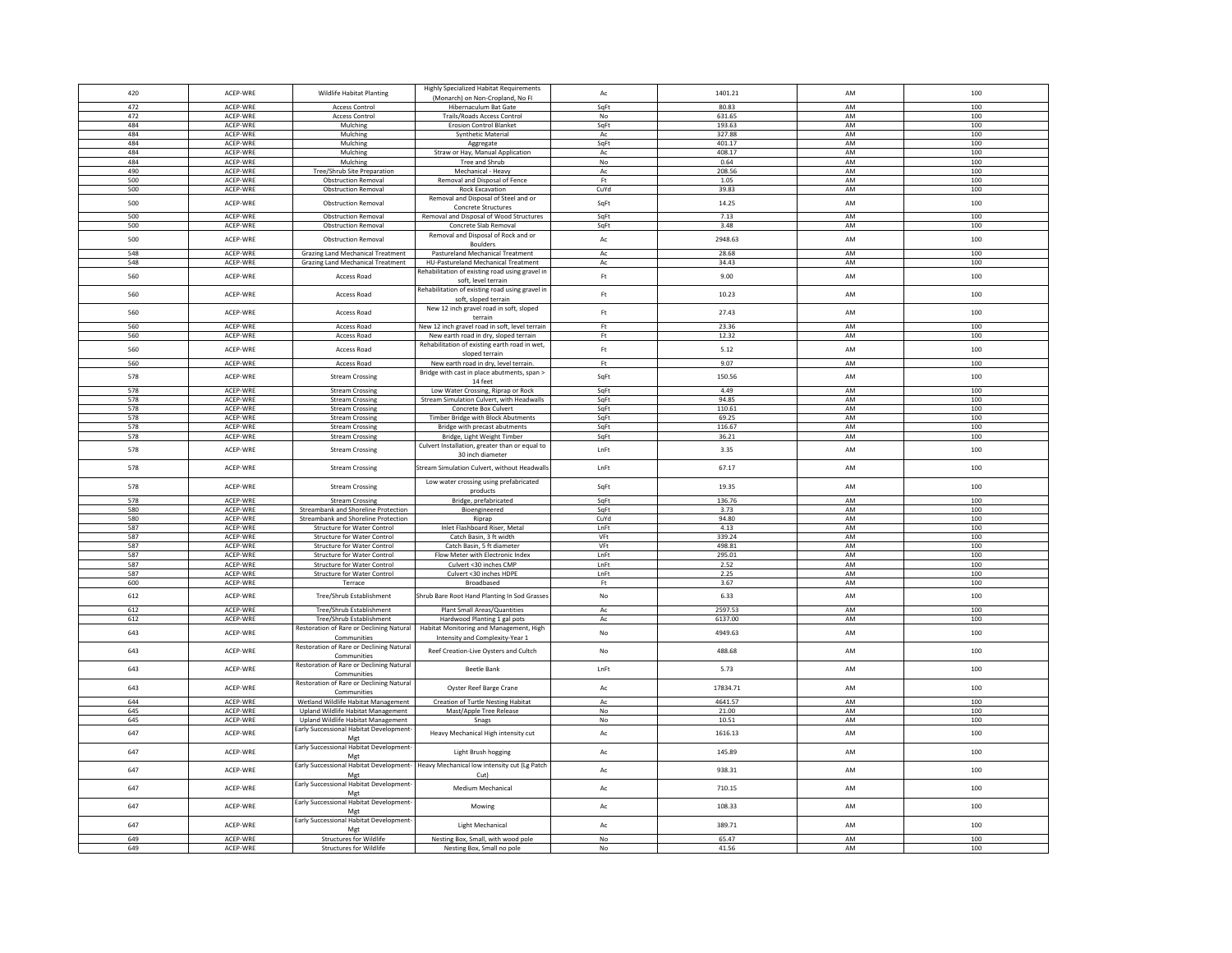| 420        | ACEP-WRE             | <b>Wildlife Habitat Planting</b>               | <b>Highly Specialized Habitat Requirements</b>                     | $\mathsf{A}\mathsf{c}$ | 1401.21         | AM              | 100        |
|------------|----------------------|------------------------------------------------|--------------------------------------------------------------------|------------------------|-----------------|-----------------|------------|
|            |                      |                                                | (Monarch) on Non-Cropland, No FI                                   |                        |                 |                 |            |
| 472<br>472 | ACEP-WRE<br>ACFP-WRF | <b>Access Control</b><br><b>Access Control</b> | Hibernaculum Bat Gate                                              | SqFt                   | 80.83<br>631.65 | AM<br><b>AM</b> | 100<br>100 |
| 484        | ACEP-WRE             | Mulching                                       | Trails/Roads Access Control<br><b>Erosion Control Blanket</b>      | No<br>SaFt             | 193.63          | AM              | 100        |
| 484        | ACEP-WRE             | Mulching                                       | Synthetic Material                                                 | Ac                     | 327.88          | AM              | 100        |
| 484        | ACEP-WRE             | Mulchine                                       | Aggregate                                                          | SaFt                   | 401.17          | AM              | 100        |
| 484        | ACEP-WRE             | Mulching                                       | Straw or Hay, Manual Application                                   | Ac                     | 408.17          | AM              | 100        |
| 484        | ACFP-WRF             | Mulching                                       | Tree and Shrub                                                     | No                     | 0.64            | AM              | 100        |
| 490        | ACEP-WRE             | Tree/Shrub Site Preparation                    | Mechanical - Heavy                                                 | Ac                     | 208.56          | AM              | 100        |
| 500        | ACEP-WRE             | <b>Obstruction Removal</b>                     | Removal and Disposal of Fence                                      | Ft.                    | 1.05            | AM              | 100        |
| 500        | ACEP-WRE             | <b>Obstruction Removal</b>                     | <b>Rock Excavation</b>                                             | CuYd                   | 39.83           | AM              | 100        |
|            |                      |                                                | Removal and Disposal of Steel and or                               |                        |                 |                 |            |
| 500        | ACFP-WRF             | <b>Obstruction Removal</b>                     | Concrete Structures                                                | SqFt                   | 14.25           | AM              | 100        |
| 500        | ACEP-WRE             | <b>Obstruction Removal</b>                     | Removal and Disposal of Wood Structures                            | SqFt                   | 7.13            | AM              | 100        |
| 500        | ACEP-WRE             | <b>Obstruction Removal</b>                     | Concrete Slab Removal                                              | SqFt                   | 3.48            | AM              | 100        |
|            |                      |                                                | Removal and Disposal of Rock and or                                |                        |                 |                 |            |
| 500        | ACEP-WRE             | <b>Obstruction Removal</b>                     | <b>Boulders</b>                                                    | Ac                     | 2948.63         | AM              | 100        |
| 548        | ACEP-WRE             | <b>Grazing Land Mechanical Treatment</b>       | Pastureland Mechanical Treatment                                   | $\mathsf{Ac}$          | 28.68           | AM              | 100        |
| 548        | ACEP-WRE             | Grazing Land Mechanical Treatment              | HU-Pastureland Mechanical Treatment                                | Ac                     | 34.43           | AM              | 100        |
| 560        | ACEP-WRE             | Access Road                                    | Rehabilitation of existing road using gravel in                    | Ft                     | 9.00            | AM              | 100        |
|            |                      |                                                | soft, level terrain                                                |                        |                 |                 |            |
| 560        | ACEP-WRE             | Access Road                                    | Rehabilitation of existing road using gravel in                    | $\mathsf{F}\mathsf{t}$ | 10.23           | AM              | 100        |
|            |                      |                                                | soft, sloped terrain                                               |                        |                 |                 |            |
| 560        | ACEP-WRE             | Access Road                                    | New 12 inch gravel road in soft, sloped                            | Ft                     | 27.43           | AM              | 100        |
|            |                      |                                                | terrain                                                            |                        |                 |                 |            |
| 560        | ACFP-WRF             | <b>Access Road</b>                             | New 12 inch gravel road in soft, level terrain                     | Ft.                    | 23.36           | AM              | 100        |
| 560        | ACEP-WRE             | Access Road                                    | New earth road in dry, sloped terrain                              | Ft                     | 12.32           | AM              | 100        |
| 560        | ACEP-WRE             | <b>Access Road</b>                             | Rehabilitation of existing earth road in wet,                      | Ft                     | 5.12            | AM              | 100        |
|            |                      |                                                | sloped terrain                                                     |                        |                 |                 |            |
| 560        | ACEP-WRE             | Access Road                                    | New earth road in dry, level terrain.                              | Ft                     | 9.07            | AM              | 100        |
| 578        | ACEP-WRE             | <b>Stream Crossing</b>                         | Bridge with cast in place abutments, span >                        | SqFt                   | 150.56          | AM              | 100        |
|            |                      |                                                | 14 feet                                                            |                        |                 |                 |            |
| 578        | ACEP-WRE             | <b>Stream Crossing</b>                         | Low Water Crossing, Riprap or Rock                                 | SqFt                   | 4.49            | AM              | 100        |
| 578        | ACEP-WRE             | <b>Stream Crossing</b>                         | Stream Simulation Culvert, with Headwalls                          | SqFt                   | 94.85           | AM              | 100        |
| 578        | ACEP-WRE             | Stream Crossing                                | <b>Concrete Box Culvert</b>                                        | SqFt                   | 110.61          | AM              | 100        |
| 578        | ACEP-WRE             | <b>Stream Crossing</b>                         | Timber Bridge with Block Abutments                                 | SqFt                   | 69.25           | AM<br>AM        | 100        |
| 578        | ACFP-WRF             | <b>Stream Crossing</b>                         | Bridge with precast abutments                                      | SqFt                   | 116.67          |                 | 100        |
| 578        | ACEP-WRE             | <b>Stream Crossing</b>                         | Bridge, Light Weight Timber                                        | SqFt                   | 36.21           | AM              | 100        |
| 578        | ACEP-WRE             | <b>Stream Crossing</b>                         | Culvert Installation, greater than or equal to<br>30 inch diameter | LnFt                   | 3.35            | AM              | 100        |
|            |                      |                                                |                                                                    |                        |                 |                 |            |
| 578        | ACEP-WRE             | <b>Stream Crossing</b>                         | Stream Simulation Culvert, without Headwalls                       | LnFt                   | 67.17           | AM              | 100        |
|            |                      |                                                | Low water crossing using prefabricated                             |                        |                 |                 |            |
| 578        | ACEP-WRE             | <b>Stream Crossing</b>                         | products                                                           | SqFt                   | 19.35           | AM              | 100        |
| 578        | ACEP-WRE             | <b>Stream Crossing</b>                         | Bridge, prefabricated                                              | SqFt                   | 136.76          | AM              | 100        |
| 580        | ACEP-WRE             | Streambank and Shoreline Protection            | Bioengineered                                                      | SqFt                   | 3.73            | AM              | 100        |
| 580        | ACEP-WRE             | Streambank and Shoreline Protection            | Riprap                                                             | CuYd                   | 94.80           | AM              | 100        |
| 587        | ACEP-WRE             | <b>Structure for Water Control</b>             | Inlet Flashboard Riser, Metal                                      | LnFt                   | 4.13            | AM              | 100        |
| 587        | ACEP-WRE             | Structure for Water Control                    | Catch Basin, 3 ft width                                            | VFt                    | 339.24          | AM              | 100        |
| 587        | ACEP-WRE             | Structure for Water Control                    | Catch Basin, 5 ft diameter                                         | VFt                    | 498.81          | AM              | 100        |
| 587        | ACEP-WRE             | <b>Structure for Water Control</b>             | Flow Meter with Electronic Index                                   | LnFt                   | 295.01          | AM              | 100        |
| 587        | ACEP-WRE             | <b>Structure for Water Control</b>             | Culvert <30 inches CMP                                             | LnFt                   | 2.52            | AM              | 100        |
| 587        | ACEP-WRE             | <b>Structure for Water Control</b>             | Culvert <30 inches HDPE                                            | LnFt                   | 2.25            | AM              | 100        |
| 600        | ACEP-WRE             | Terrace                                        | Broadbased                                                         | Ft                     | 3.67            | AM              | 100        |
|            |                      |                                                |                                                                    |                        |                 |                 |            |
| 612        | ACEP-WRE             | Tree/Shrub Establishment                       | Shrub Bare Root Hand Planting In Sod Grasses                       | No                     | 6.33            | AM              | 100        |
| 612        | ACEP-WRE             | Tree/Shrub Establishment                       | Plant Small Areas/Quantities                                       | Ac                     | 2597.53         | AM              | 100        |
| 612        | ACEP-WRE             | Tree/Shrub Establishment                       | Hardwood Planting 1 gal pots                                       | Ac                     | 6137.00         | AM              | 100        |
| 643        | ACFP-WRF             | Restoration of Rare or Declining Natural       | Habitat Monitoring and Management, High                            |                        | 4949.63         | AM              | 100        |
|            |                      | Communities                                    | Intensity and Complexity-Year 1                                    | N <sub>0</sub>         |                 |                 |            |
| 643        | ACFP-WRF             | Restoration of Rare or Declining Natural       | Reef Creation-Live Oysters and Cultch                              | No                     | 488.68          | AM              | 100        |
|            |                      | Communities                                    |                                                                    |                        |                 |                 |            |
| 643        | ACEP-WRE             | Restoration of Rare or Declining Natural       | <b>Beetle Bank</b>                                                 | LnFt                   | 5.73            | AM              | 100        |
|            |                      | Communities                                    |                                                                    |                        |                 |                 |            |
| 643        | ACEP-WRE             | Restoration of Rare or Declining Natural       | Oyster Reef Barge Crane                                            | Ac                     | 17834.71        | AM              | 100        |
|            |                      | Communities                                    |                                                                    |                        |                 |                 |            |
| 644        | ACEP-WRE             | Wetland Wildlife Habitat Management            | Creation of Turtle Nesting Habitat                                 | $\mathsf{Ac}$          | 4641.57         | AM              | 100        |
| 645        | ACEP-WRE             | Upland Wildlife Habitat Management             | Mast/Apple Tree Release                                            | No                     | 21.00           | AM              | 100        |
| 645        | ACEP-WRE             | Upland Wildlife Habitat Management             | Snags                                                              | No                     | 10.51           | AM              | 100        |
| 647        | ACEP-WRE             | Early Successional Habitat Development-        | Heavy Mechanical High intensity cut                                | $\mathsf{A}\mathsf{c}$ | 1616.13         | AM              | 100        |
|            |                      | Met                                            |                                                                    |                        |                 |                 |            |
| 647        | ACEP-WRE             | Early Successional Habitat Development-        | Light Brush hogging                                                | Ac                     | 145.89          | AM              | 100        |
|            |                      | Met                                            |                                                                    |                        |                 |                 |            |
| 647        | ACFP-WRF             | Early Successional Habitat Development-        | Heavy Mechanical low intensity cut (Lg Patch                       | Ac                     | 938.31          | AM              | 100        |
|            |                      | Mgt                                            | Cut)                                                               |                        |                 |                 |            |
| 647        | ACEP-WRE             | Early Successional Habitat Development-        | Medium Mechanical                                                  | $\mathsf{A}\mathsf{c}$ | 710.15          | AM              | 100        |
|            |                      | Mgt                                            |                                                                    |                        |                 |                 |            |
| 647        | ACEP-WRE             | Early Successional Habitat Development-        | Mowing                                                             | $\mathsf{Ac}$          | 108.33          | AM              | 100        |
|            |                      | Mgt                                            |                                                                    |                        |                 |                 |            |
| 647        | ACEP-WRE             | Early Successional Habitat Development-<br>Mgt | <b>Light Mechanical</b>                                            | Ac                     | 389.71          | AM              | 100        |
| 649        | ACEP-WRE             | <b>Structures for Wildlife</b>                 | Nesting Box, Small, with wood pole                                 | No                     | 65.47           | AM              | 100        |
| 649        | ACEP-WRE             | Structures for Wildlife                        | Nesting Box, Small no pole                                         | No                     | 41.56           | AM              | 100        |
|            |                      |                                                |                                                                    |                        |                 |                 |            |